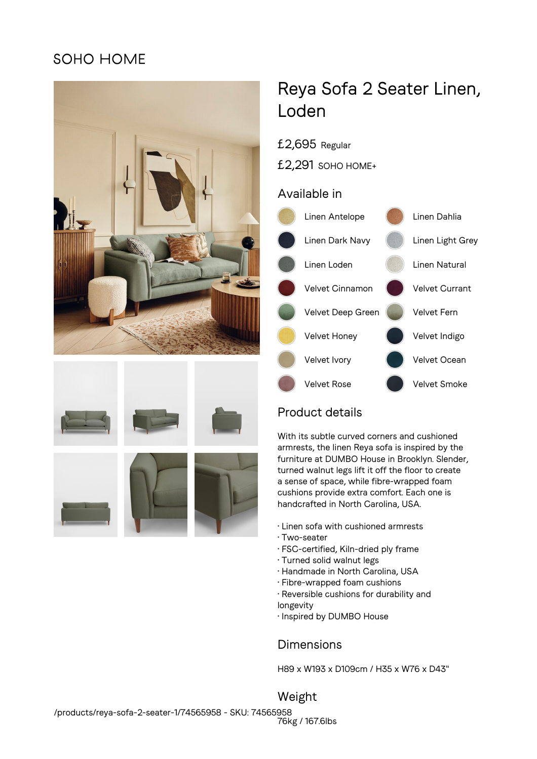## SOHO HOME









# Reya Sofa 2 Seater Linen, Loden

- £2,695 Regular
- £2,291 SOHO HOME+

#### Available in



## Product details

With its subtle curved corners and cushioned armrests, the linen Reya sofa is inspired by the furniture at DUMBO House in Brooklyn. Slender, turned walnut legs lift it off the floor to create a sense of space, while fibre-wrapped foam cushions provide extra comfort. Each one is handcrafted in North Carolina, USA.

- Linen sofa with cushioned armrests
- Two-seater
- FSC-certified, Kiln-dried ply frame
- Turned solid walnut legs
- Handmade in North Carolina, USA
- Fibre-wrapped foam cushions
- Reversible cushions for durability and longevity
- Inspired by DUMBO House

### Dimensions

H89 x W193 x D109cm / H35 x W76 x D43"

Weight 76kg / 167.6lbs /products/reya-sofa-2-seater-1/74565958 - SKU: 74565958